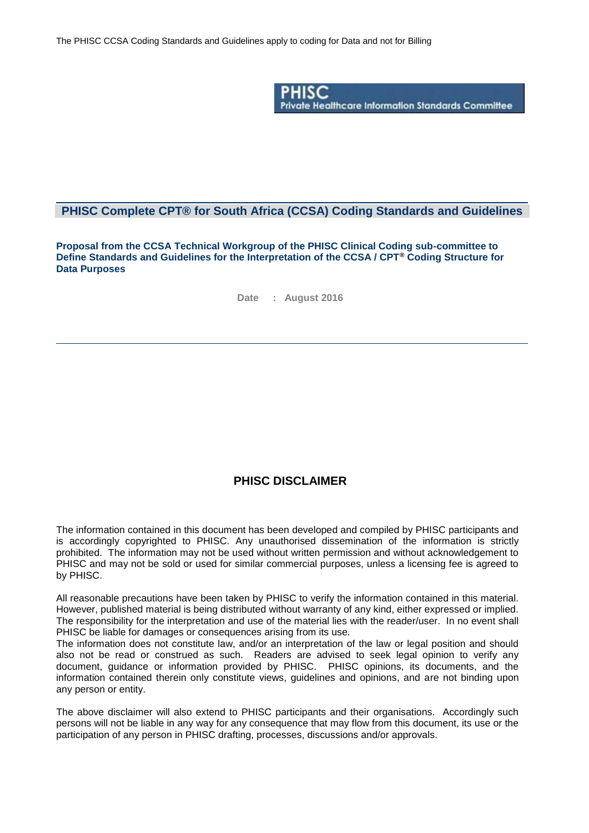

### **PHISC Complete CPT® for South Africa (CCSA) Coding Standards and Guidelines**

**Proposal from the CCSA Technical Workgroup of the PHISC Clinical Coding sub-committee to Define Standards and Guidelines for the Interpretation of the CCSA / CPT® Coding Structure for Data Purposes**

**Date : August 2016**

### **PHISC DISCLAIMER**

The information contained in this document has been developed and compiled by PHISC participants and is accordingly copyrighted to PHISC. Any unauthorised dissemination of the information is strictly prohibited. The information may not be used without written permission and without acknowledgement to PHISC and may not be sold or used for similar commercial purposes, unless a licensing fee is agreed to by PHISC.

All reasonable precautions have been taken by PHISC to verify the information contained in this material. However, published material is being distributed without warranty of any kind, either expressed or implied. The responsibility for the interpretation and use of the material lies with the reader/user. In no event shall PHISC be liable for damages or consequences arising from its use.

The information does not constitute law, and/or an interpretation of the law or legal position and should also not be read or construed as such. Readers are advised to seek legal opinion to verify any document, guidance or information provided by PHISC. PHISC opinions, its documents, and the information contained therein only constitute views, guidelines and opinions, and are not binding upon any person or entity.

The above disclaimer will also extend to PHISC participants and their organisations. Accordingly such persons will not be liable in any way for any consequence that may flow from this document, its use or the participation of any person in PHISC drafting, processes, discussions and/or approvals.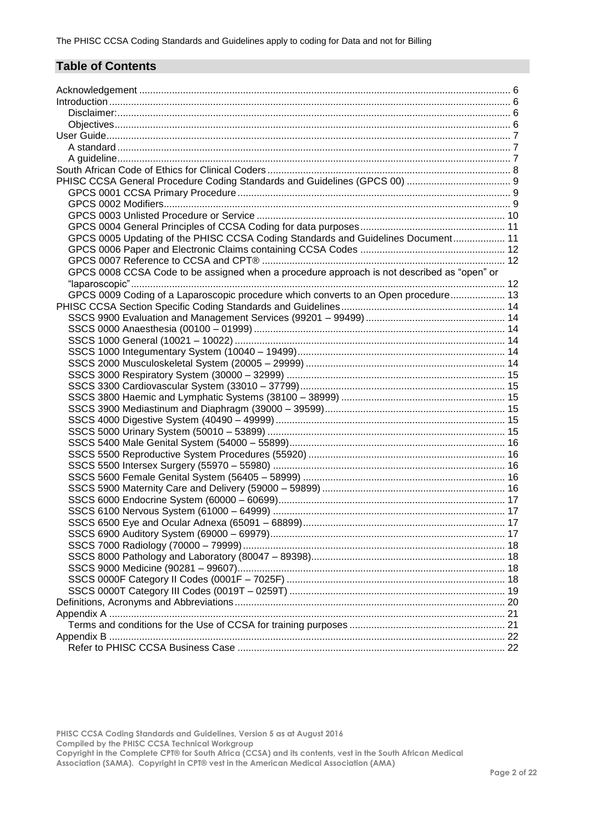# **Table of Contents**

| GPCS 0005 Updating of the PHISC CCSA Coding Standards and Guidelines Document 11           |  |
|--------------------------------------------------------------------------------------------|--|
|                                                                                            |  |
|                                                                                            |  |
| GPCS 0008 CCSA Code to be assigned when a procedure approach is not described as "open" or |  |
|                                                                                            |  |
| GPCS 0009 Coding of a Laparoscopic procedure which converts to an Open procedure 13        |  |
|                                                                                            |  |
|                                                                                            |  |
|                                                                                            |  |
|                                                                                            |  |
|                                                                                            |  |
|                                                                                            |  |
|                                                                                            |  |
|                                                                                            |  |
|                                                                                            |  |
|                                                                                            |  |
|                                                                                            |  |
|                                                                                            |  |
|                                                                                            |  |
|                                                                                            |  |
|                                                                                            |  |
|                                                                                            |  |
|                                                                                            |  |
|                                                                                            |  |
|                                                                                            |  |
|                                                                                            |  |
|                                                                                            |  |
|                                                                                            |  |
|                                                                                            |  |
|                                                                                            |  |
|                                                                                            |  |
|                                                                                            |  |
|                                                                                            |  |
|                                                                                            |  |
|                                                                                            |  |
|                                                                                            |  |
|                                                                                            |  |
|                                                                                            |  |

**PHISC CCSA Coding Standards and Guidelines, Version 5 as at August 2016 Compiled by the PHISC CCSA Technical Workgroup Copyright in the Complete CPT® for South Africa (CCSA) and its contents, vest in the South African Medical**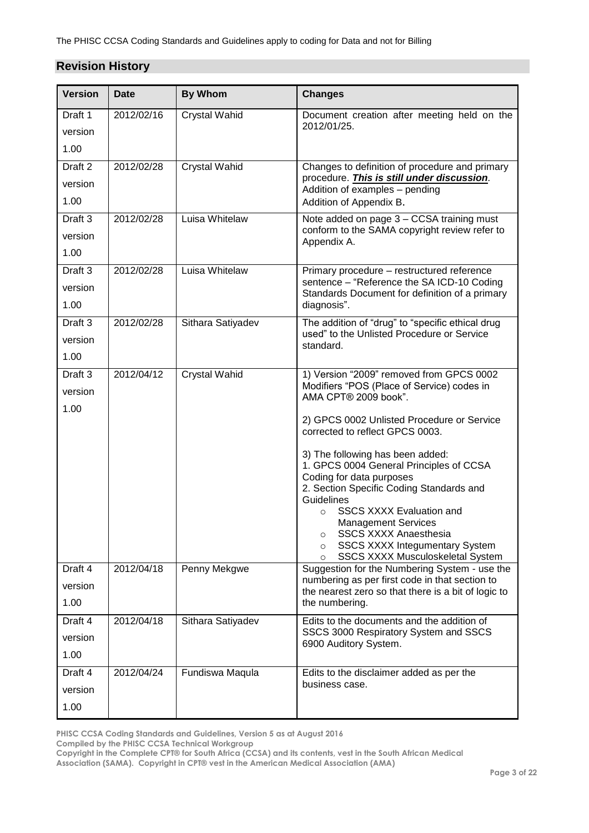## **Revision History**

| <b>Version</b>     | <b>Date</b> | <b>By Whom</b>       | <b>Changes</b>                                                                                        |
|--------------------|-------------|----------------------|-------------------------------------------------------------------------------------------------------|
| Draft 1            | 2012/02/16  | <b>Crystal Wahid</b> | Document creation after meeting held on the                                                           |
| version            |             |                      | 2012/01/25.                                                                                           |
| 1.00               |             |                      |                                                                                                       |
| Draft <sub>2</sub> | 2012/02/28  | <b>Crystal Wahid</b> | Changes to definition of procedure and primary                                                        |
| version            |             |                      | procedure. This is still under discussion.<br>Addition of examples - pending                          |
| 1.00               |             |                      | Addition of Appendix B.                                                                               |
| Draft <sub>3</sub> | 2012/02/28  | Luisa Whitelaw       | Note added on page 3 - CCSA training must<br>conform to the SAMA copyright review refer to            |
| version            |             |                      | Appendix A.                                                                                           |
| 1.00               |             |                      |                                                                                                       |
| Draft 3            | 2012/02/28  | Luisa Whitelaw       | Primary procedure - restructured reference<br>sentence - "Reference the SA ICD-10 Coding              |
| version            |             |                      | Standards Document for definition of a primary                                                        |
| 1.00               |             |                      | diagnosis".                                                                                           |
| Draft 3            | 2012/02/28  | Sithara Satiyadev    | The addition of "drug" to "specific ethical drug<br>used" to the Unlisted Procedure or Service        |
| version            |             |                      | standard.                                                                                             |
| 1.00               |             |                      |                                                                                                       |
| Draft 3            | 2012/04/12  | <b>Crystal Wahid</b> | 1) Version "2009" removed from GPCS 0002<br>Modifiers "POS (Place of Service) codes in                |
| version            |             |                      | AMA CPT® 2009 book".                                                                                  |
| 1.00               |             |                      | 2) GPCS 0002 Unlisted Procedure or Service                                                            |
|                    |             |                      | corrected to reflect GPCS 0003.                                                                       |
|                    |             |                      | 3) The following has been added:                                                                      |
|                    |             |                      | 1. GPCS 0004 General Principles of CCSA                                                               |
|                    |             |                      | Coding for data purposes<br>2. Section Specific Coding Standards and                                  |
|                    |             |                      | Guidelines                                                                                            |
|                    |             |                      | <b>SSCS XXXX Evaluation and</b><br>$\Omega$<br><b>Management Services</b>                             |
|                    |             |                      | <b>SSCS XXXX Anaesthesia</b><br>$\circ$                                                               |
|                    |             |                      | <b>SSCS XXXX Integumentary System</b><br>$\Omega$<br>SSCS XXXX Musculoskeletal System<br>$\circ$      |
| Draft 4            | 2012/04/18  | Penny Mekgwe         | Suggestion for the Numbering System - use the                                                         |
| version            |             |                      | numbering as per first code in that section to<br>the nearest zero so that there is a bit of logic to |
| 1.00               |             |                      | the numbering.                                                                                        |
| Draft 4            | 2012/04/18  | Sithara Satiyadev    | Edits to the documents and the addition of                                                            |
| version            |             |                      | SSCS 3000 Respiratory System and SSCS<br>6900 Auditory System.                                        |
| 1.00               |             |                      |                                                                                                       |
| Draft 4            | 2012/04/24  | Fundiswa Maqula      | Edits to the disclaimer added as per the                                                              |
| version            |             |                      | business case.                                                                                        |
| 1.00               |             |                      |                                                                                                       |

**PHISC CCSA Coding Standards and Guidelines, Version 5 as at August 2016**

**Compiled by the PHISC CCSA Technical Workgroup**

**Copyright in the Complete CPT® for South Africa (CCSA) and its contents, vest in the South African Medical**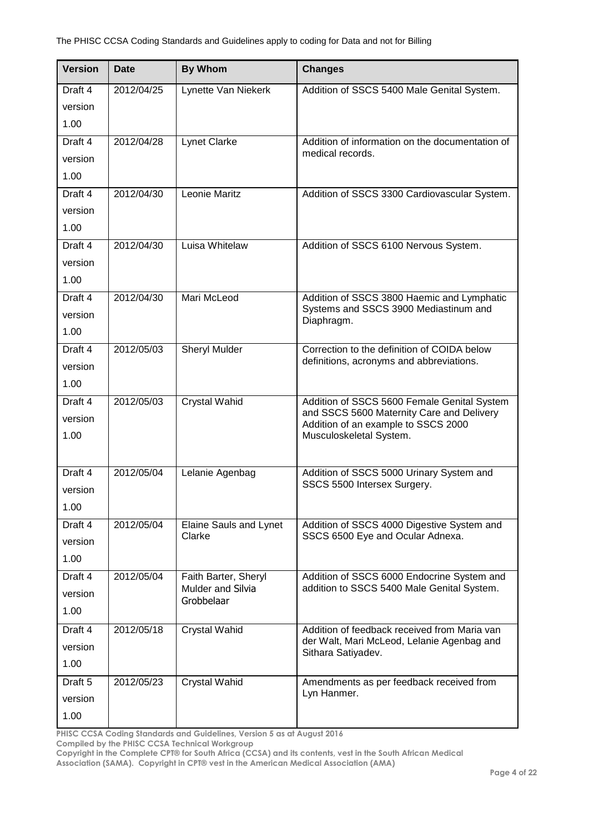| <b>Version</b>                        | <b>Date</b> | <b>By Whom</b>                                                 | <b>Changes</b>                                                                                                                                             |
|---------------------------------------|-------------|----------------------------------------------------------------|------------------------------------------------------------------------------------------------------------------------------------------------------------|
| Draft 4<br>version<br>1.00            | 2012/04/25  | Lynette Van Niekerk                                            | Addition of SSCS 5400 Male Genital System.                                                                                                                 |
| Draft 4<br>version<br>1.00            | 2012/04/28  | <b>Lynet Clarke</b>                                            | Addition of information on the documentation of<br>medical records.                                                                                        |
| Draft 4<br>version<br>1.00            | 2012/04/30  | Leonie Maritz                                                  | Addition of SSCS 3300 Cardiovascular System.                                                                                                               |
| Draft 4<br>version<br>1.00            | 2012/04/30  | Luisa Whitelaw                                                 | Addition of SSCS 6100 Nervous System.                                                                                                                      |
| Draft 4<br>version<br>1.00            | 2012/04/30  | Mari McLeod                                                    | Addition of SSCS 3800 Haemic and Lymphatic<br>Systems and SSCS 3900 Mediastinum and<br>Diaphragm.                                                          |
| Draft 4<br>version<br>1.00            | 2012/05/03  | <b>Sheryl Mulder</b>                                           | Correction to the definition of COIDA below<br>definitions, acronyms and abbreviations.                                                                    |
| Draft 4<br>version<br>1.00            | 2012/05/03  | <b>Crystal Wahid</b>                                           | Addition of SSCS 5600 Female Genital System<br>and SSCS 5600 Maternity Care and Delivery<br>Addition of an example to SSCS 2000<br>Musculoskeletal System. |
| Draft 4<br>version<br>1.00            | 2012/05/04  | Lelanie Agenbag                                                | Addition of SSCS 5000 Urinary System and<br>SSCS 5500 Intersex Surgery.                                                                                    |
| Draft 4<br>version<br>1.00            | 2012/05/04  | Elaine Sauls and Lynet<br>Clarke                               | Addition of SSCS 4000 Digestive System and<br>SSCS 6500 Eye and Ocular Adnexa.                                                                             |
| Draft 4<br>version<br>1.00            | 2012/05/04  | Faith Barter, Sheryl<br><b>Mulder and Silvia</b><br>Grobbelaar | Addition of SSCS 6000 Endocrine System and<br>addition to SSCS 5400 Male Genital System.                                                                   |
| Draft 4<br>version<br>1.00            | 2012/05/18  | <b>Crystal Wahid</b>                                           | Addition of feedback received from Maria van<br>der Walt, Mari McLeod, Lelanie Agenbag and<br>Sithara Satiyadev.                                           |
| Draft <sub>5</sub><br>version<br>1.00 | 2012/05/23  | <b>Crystal Wahid</b>                                           | Amendments as per feedback received from<br>Lyn Hanmer.                                                                                                    |

**PHISC CCSA Coding Standards and Guidelines, Version 5 as at August 2016**

**Compiled by the PHISC CCSA Technical Workgroup**

**Copyright in the Complete CPT® for South Africa (CCSA) and its contents, vest in the South African Medical**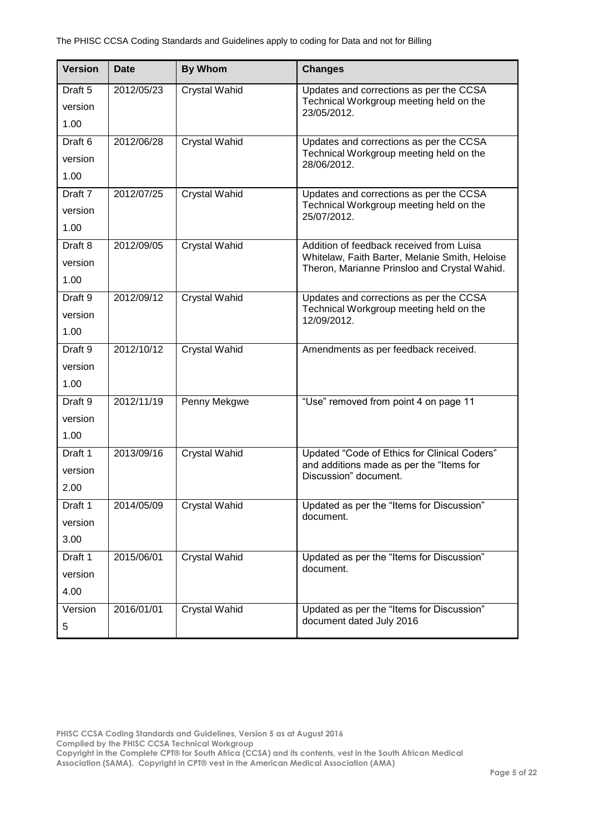| <b>Version</b>                        | <b>Date</b> | <b>By Whom</b>       | <b>Changes</b>                                                                                                                             |
|---------------------------------------|-------------|----------------------|--------------------------------------------------------------------------------------------------------------------------------------------|
| Draft 5<br>version<br>1.00            | 2012/05/23  | <b>Crystal Wahid</b> | Updates and corrections as per the CCSA<br>Technical Workgroup meeting held on the<br>23/05/2012.                                          |
| Draft <sub>6</sub><br>version<br>1.00 | 2012/06/28  | <b>Crystal Wahid</b> | Updates and corrections as per the CCSA<br>Technical Workgroup meeting held on the<br>28/06/2012.                                          |
| Draft 7<br>version<br>1.00            | 2012/07/25  | <b>Crystal Wahid</b> | Updates and corrections as per the CCSA<br>Technical Workgroup meeting held on the<br>25/07/2012.                                          |
| Draft 8<br>version<br>1.00            | 2012/09/05  | <b>Crystal Wahid</b> | Addition of feedback received from Luisa<br>Whitelaw, Faith Barter, Melanie Smith, Heloise<br>Theron, Marianne Prinsloo and Crystal Wahid. |
| Draft 9<br>version<br>1.00            | 2012/09/12  | <b>Crystal Wahid</b> | Updates and corrections as per the CCSA<br>Technical Workgroup meeting held on the<br>12/09/2012.                                          |
| Draft 9<br>version<br>1.00            | 2012/10/12  | <b>Crystal Wahid</b> | Amendments as per feedback received.                                                                                                       |
| Draft 9<br>version<br>1.00            | 2012/11/19  | Penny Mekgwe         | "Use" removed from point 4 on page 11                                                                                                      |
| Draft 1<br>version<br>2.00            | 2013/09/16  | <b>Crystal Wahid</b> | Updated "Code of Ethics for Clinical Coders"<br>and additions made as per the "Items for<br>Discussion" document.                          |
| Draft 1<br>version<br>3.00            | 2014/05/09  | <b>Crystal Wahid</b> | Updated as per the "Items for Discussion"<br>document.                                                                                     |
| Draft 1<br>version<br>4.00            | 2015/06/01  | <b>Crystal Wahid</b> | Updated as per the "Items for Discussion"<br>document.                                                                                     |
| Version<br>5                          | 2016/01/01  | <b>Crystal Wahid</b> | Updated as per the "Items for Discussion"<br>document dated July 2016                                                                      |

**PHISC CCSA Coding Standards and Guidelines, Version 5 as at August 2016**

**Compiled by the PHISC CCSA Technical Workgroup**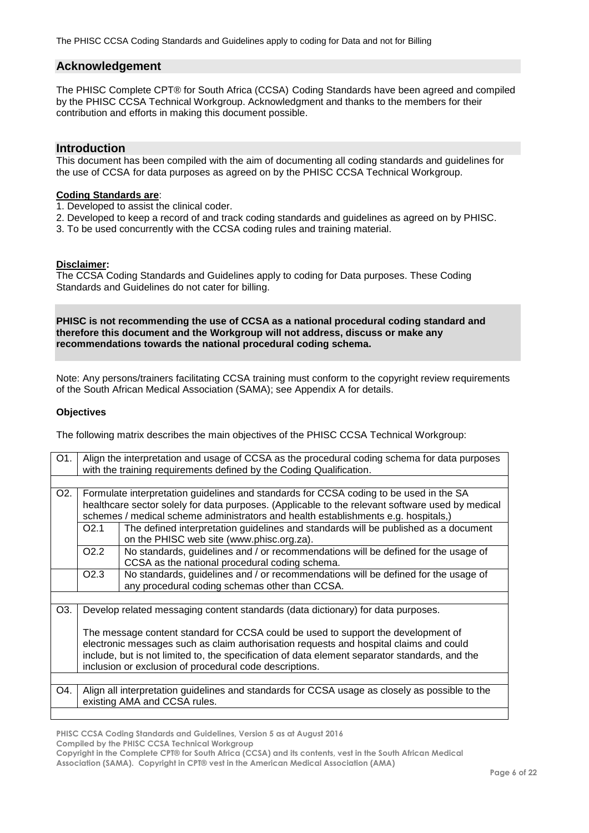#### <span id="page-5-0"></span>**Acknowledgement**

The PHISC Complete CPT® for South Africa (CCSA) Coding Standards have been agreed and compiled by the PHISC CCSA Technical Workgroup. Acknowledgment and thanks to the members for their contribution and efforts in making this document possible.

#### <span id="page-5-1"></span>**Introduction**

This document has been compiled with the aim of documenting all coding standards and guidelines for the use of CCSA for data purposes as agreed on by the PHISC CCSA Technical Workgroup.

### **Coding Standards are**:

- 1. Developed to assist the clinical coder.
- 2. Developed to keep a record of and track coding standards and guidelines as agreed on by PHISC.
- 3. To be used concurrently with the CCSA coding rules and training material.

#### <span id="page-5-2"></span>**Disclaimer:**

The CCSA Coding Standards and Guidelines apply to coding for Data purposes. These Coding Standards and Guidelines do not cater for billing.

**PHISC is not recommending the use of CCSA as a national procedural coding standard and therefore this document and the Workgroup will not address, discuss or make any recommendations towards the national procedural coding schema.**

Note: Any persons/trainers facilitating CCSA training must conform to the copyright review requirements of the South African Medical Association (SAMA); see Appendix A for details.

#### <span id="page-5-3"></span>**Objectives**

The following matrix describes the main objectives of the PHISC CCSA Technical Workgroup:

| O1.              | Align the interpretation and usage of CCSA as the procedural coding schema for data purposes     |                                                                                    |  |  |
|------------------|--------------------------------------------------------------------------------------------------|------------------------------------------------------------------------------------|--|--|
|                  | with the training requirements defined by the Coding Qualification.                              |                                                                                    |  |  |
|                  |                                                                                                  |                                                                                    |  |  |
| O <sub>2</sub> . | Formulate interpretation guidelines and standards for CCSA coding to be used in the SA           |                                                                                    |  |  |
|                  | healthcare sector solely for data purposes. (Applicable to the relevant software used by medical |                                                                                    |  |  |
|                  | schemes / medical scheme administrators and health establishments e.g. hospitals,)               |                                                                                    |  |  |
|                  | The defined interpretation guidelines and standards will be published as a document<br>O2.1      |                                                                                    |  |  |
|                  |                                                                                                  | on the PHISC web site (www.phisc.org.za).                                          |  |  |
|                  | O <sub>2.2</sub>                                                                                 | No standards, guidelines and / or recommendations will be defined for the usage of |  |  |
|                  |                                                                                                  | CCSA as the national procedural coding schema.                                     |  |  |
|                  | O <sub>2.3</sub>                                                                                 | No standards, guidelines and / or recommendations will be defined for the usage of |  |  |
|                  |                                                                                                  | any procedural coding schemas other than CCSA.                                     |  |  |
|                  |                                                                                                  |                                                                                    |  |  |
| O3.              |                                                                                                  | Develop related messaging content standards (data dictionary) for data purposes.   |  |  |
|                  |                                                                                                  |                                                                                    |  |  |
|                  |                                                                                                  | The message content standard for CCSA could be used to support the development of  |  |  |
|                  | electronic messages such as claim authorisation requests and hospital claims and could           |                                                                                    |  |  |
|                  | include, but is not limited to, the specification of data element separator standards, and the   |                                                                                    |  |  |
|                  | inclusion or exclusion of procedural code descriptions.                                          |                                                                                    |  |  |
|                  |                                                                                                  |                                                                                    |  |  |
| O4.              | Align all interpretation guidelines and standards for CCSA usage as closely as possible to the   |                                                                                    |  |  |
|                  |                                                                                                  | existing AMA and CCSA rules.                                                       |  |  |
|                  |                                                                                                  |                                                                                    |  |  |

**PHISC CCSA Coding Standards and Guidelines, Version 5 as at August 2016**

**Compiled by the PHISC CCSA Technical Workgroup**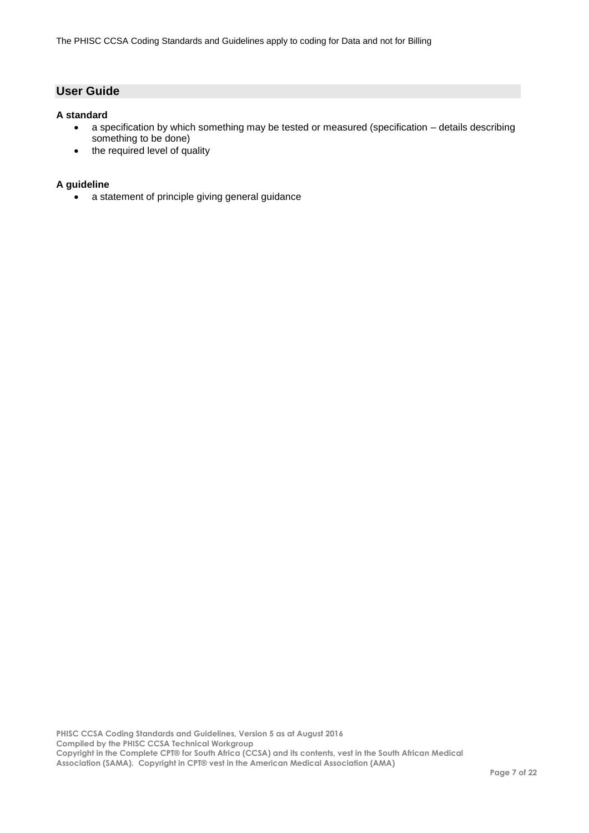## <span id="page-6-0"></span>**User Guide**

#### <span id="page-6-1"></span>**A standard**

- a specification by which something may be tested or measured (specification details describing something to be done)
- the required level of quality

#### <span id="page-6-2"></span>**A guideline**

a statement of principle giving general guidance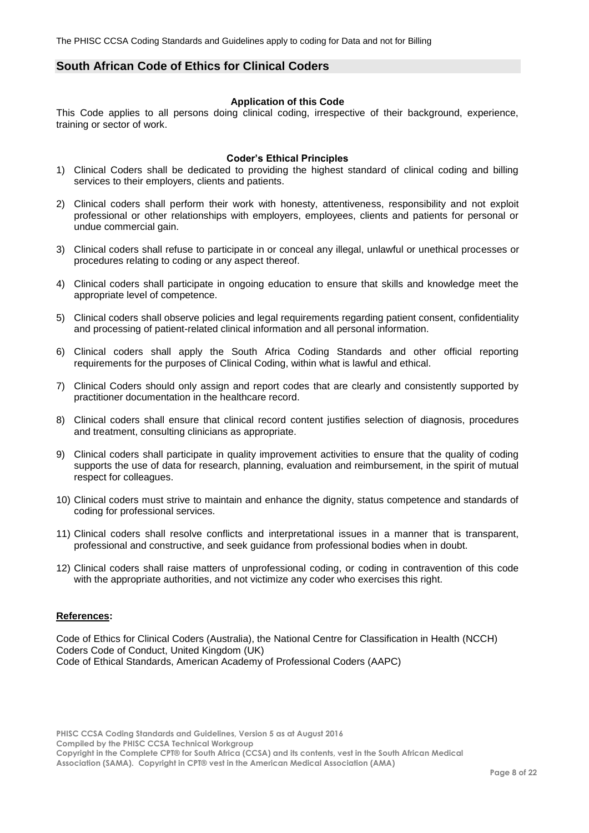### <span id="page-7-0"></span>**South African Code of Ethics for Clinical Coders**

#### **Application of this Code**

This Code applies to all persons doing clinical coding, irrespective of their background, experience, training or sector of work.

#### **Coder's Ethical Principles**

- 1) Clinical Coders shall be dedicated to providing the highest standard of clinical coding and billing services to their employers, clients and patients.
- 2) Clinical coders shall perform their work with honesty, attentiveness, responsibility and not exploit professional or other relationships with employers, employees, clients and patients for personal or undue commercial gain.
- 3) Clinical coders shall refuse to participate in or conceal any illegal, unlawful or unethical processes or procedures relating to coding or any aspect thereof.
- 4) Clinical coders shall participate in ongoing education to ensure that skills and knowledge meet the appropriate level of competence.
- 5) Clinical coders shall observe policies and legal requirements regarding patient consent, confidentiality and processing of patient-related clinical information and all personal information.
- 6) Clinical coders shall apply the South Africa Coding Standards and other official reporting requirements for the purposes of Clinical Coding, within what is lawful and ethical.
- 7) Clinical Coders should only assign and report codes that are clearly and consistently supported by practitioner documentation in the healthcare record.
- 8) Clinical coders shall ensure that clinical record content justifies selection of diagnosis, procedures and treatment, consulting clinicians as appropriate.
- 9) Clinical coders shall participate in quality improvement activities to ensure that the quality of coding supports the use of data for research, planning, evaluation and reimbursement, in the spirit of mutual respect for colleagues.
- 10) Clinical coders must strive to maintain and enhance the dignity, status competence and standards of coding for professional services.
- 11) Clinical coders shall resolve conflicts and interpretational issues in a manner that is transparent, professional and constructive, and seek guidance from professional bodies when in doubt.
- 12) Clinical coders shall raise matters of unprofessional coding, or coding in contravention of this code with the appropriate authorities, and not victimize any coder who exercises this right.

#### **References:**

Code of Ethics for Clinical Coders (Australia), the National Centre for Classification in Health (NCCH) Coders Code of Conduct, United Kingdom (UK) Code of Ethical Standards, American Academy of Professional Coders (AAPC)

**PHISC CCSA Coding Standards and Guidelines, Version 5 as at August 2016 Compiled by the PHISC CCSA Technical Workgroup Copyright in the Complete CPT® for South Africa (CCSA) and its contents, vest in the South African Medical**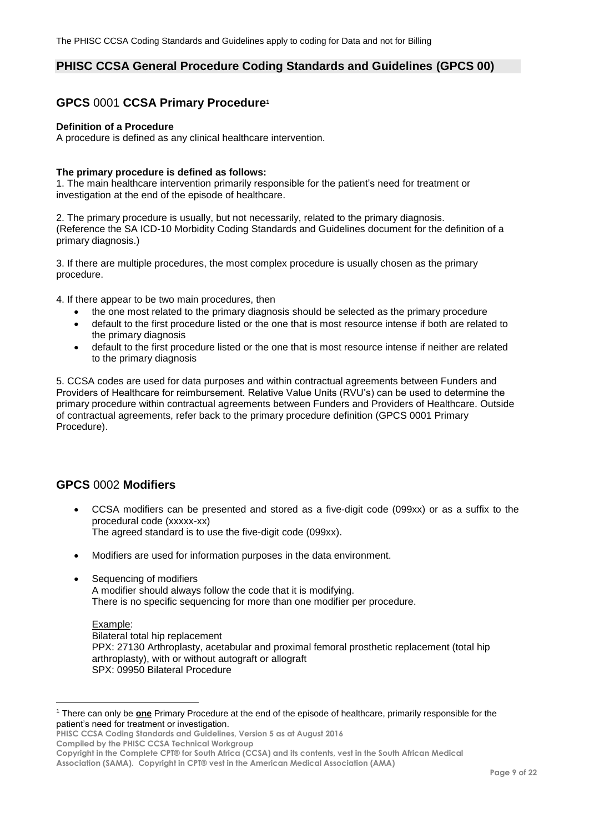### <span id="page-8-0"></span>**PHISC CCSA General Procedure Coding Standards and Guidelines (GPCS 00)**

## <span id="page-8-1"></span>**GPCS** 0001 **CCSA Primary Procedure<sup>1</sup>**

#### **Definition of a Procedure**

A procedure is defined as any clinical healthcare intervention.

#### **The primary procedure is defined as follows:**

1. The main healthcare intervention primarily responsible for the patient's need for treatment or investigation at the end of the episode of healthcare.

2. The primary procedure is usually, but not necessarily, related to the primary diagnosis. (Reference the SA ICD-10 Morbidity Coding Standards and Guidelines document for the definition of a primary diagnosis.)

3. If there are multiple procedures, the most complex procedure is usually chosen as the primary procedure.

4. If there appear to be two main procedures, then

- the one most related to the primary diagnosis should be selected as the primary procedure
- default to the first procedure listed or the one that is most resource intense if both are related to the primary diagnosis
- default to the first procedure listed or the one that is most resource intense if neither are related to the primary diagnosis

5. CCSA codes are used for data purposes and within contractual agreements between Funders and Providers of Healthcare for reimbursement. Relative Value Units (RVU's) can be used to determine the primary procedure within contractual agreements between Funders and Providers of Healthcare. Outside of contractual agreements, refer back to the primary procedure definition (GPCS 0001 Primary Procedure).

### <span id="page-8-2"></span>**GPCS** 0002 **Modifiers**

- CCSA modifiers can be presented and stored as a five-digit code (099xx) or as a suffix to the procedural code (xxxxx-xx) The agreed standard is to use the five-digit code (099xx).
- Modifiers are used for information purposes in the data environment.
- Sequencing of modifiers A modifier should always follow the code that it is modifying. There is no specific sequencing for more than one modifier per procedure.

### Example:

 $\overline{a}$ 

Bilateral total hip replacement PPX: 27130 Arthroplasty, acetabular and proximal femoral prosthetic replacement (total hip arthroplasty), with or without autograft or allograft SPX: 09950 Bilateral Procedure

**PHISC CCSA Coding Standards and Guidelines, Version 5 as at August 2016 Compiled by the PHISC CCSA Technical Workgroup**

<sup>1</sup> There can only be **one** Primary Procedure at the end of the episode of healthcare, primarily responsible for the patient's need for treatment or investigation.

**Copyright in the Complete CPT® for South Africa (CCSA) and its contents, vest in the South African Medical Association (SAMA). Copyright in CPT® vest in the American Medical Association (AMA)**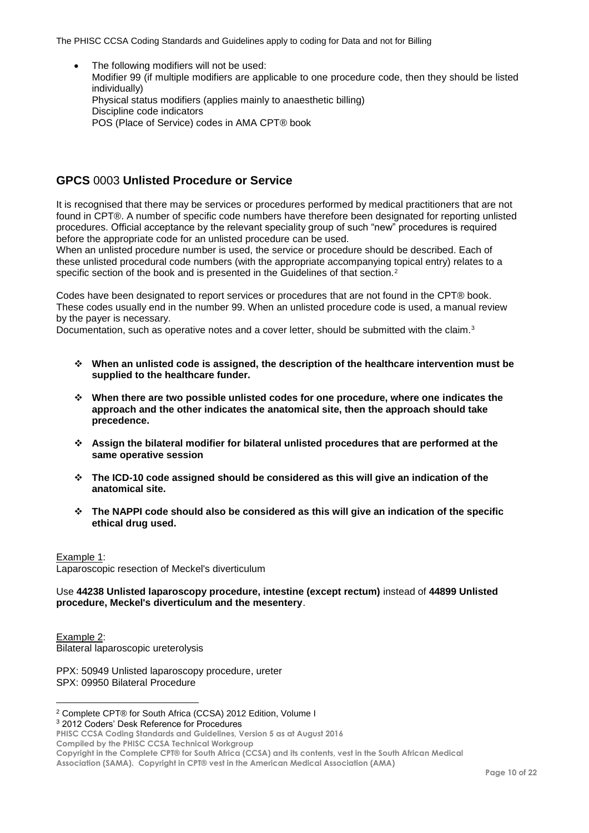The following modifiers will not be used: Modifier 99 (if multiple modifiers are applicable to one procedure code, then they should be listed individually) Physical status modifiers (applies mainly to anaesthetic billing) Discipline code indicators POS (Place of Service) codes in AMA CPT® book

## <span id="page-9-0"></span>**GPCS** 0003 **Unlisted Procedure or Service**

It is recognised that there may be services or procedures performed by medical practitioners that are not found in CPT®. A number of specific code numbers have therefore been designated for reporting unlisted procedures. Official acceptance by the relevant speciality group of such "new" procedures is required before the appropriate code for an unlisted procedure can be used.

When an unlisted procedure number is used, the service or procedure should be described. Each of these unlisted procedural code numbers (with the appropriate accompanying topical entry) relates to a specific section of the book and is presented in the Guidelines of that section.<sup>2</sup>

Codes have been designated to report services or procedures that are not found in the CPT® book. These codes usually end in the number 99. When an unlisted procedure code is used, a manual review by the payer is necessary.

Documentation, such as operative notes and a cover letter, should be submitted with the claim.<sup>3</sup>

- **When an unlisted code is assigned, the description of the healthcare intervention must be supplied to the healthcare funder.**
- **When there are two possible unlisted codes for one procedure, where one indicates the approach and the other indicates the anatomical site, then the approach should take precedence.**
- **Assign the bilateral modifier for bilateral unlisted procedures that are performed at the same operative session**
- **The ICD-10 code assigned should be considered as this will give an indication of the anatomical site.**
- **The NAPPI code should also be considered as this will give an indication of the specific ethical drug used.**

Example 1: Laparoscopic resection of Meckel's diverticulum

Use **44238 Unlisted laparoscopy procedure, intestine (except rectum)** instead of **44899 Unlisted procedure, Meckel's diverticulum and the mesentery**.

Example 2: Bilateral laparoscopic ureterolysis

 $\overline{a}$ 

PPX: 50949 Unlisted laparoscopy procedure, ureter SPX: 09950 Bilateral Procedure

<sup>3</sup> 2012 Coders' Desk Reference for Procedures

**PHISC CCSA Coding Standards and Guidelines, Version 5 as at August 2016**

**Compiled by the PHISC CCSA Technical Workgroup**

**Copyright in the Complete CPT® for South Africa (CCSA) and its contents, vest in the South African Medical** 

<sup>2</sup> Complete CPT® for South Africa (CCSA) 2012 Edition, Volume I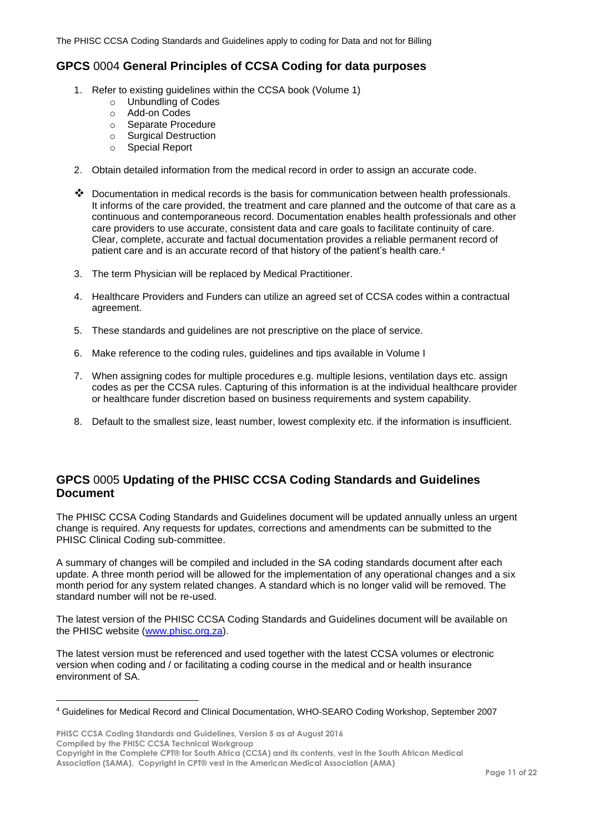## <span id="page-10-0"></span>**GPCS** 0004 **General Principles of CCSA Coding for data purposes**

- 1. Refer to existing guidelines within the CCSA book (Volume 1)
	- o Unbundling of Codes
	- o Add-on Codes
	- o Separate Procedure
	- o Surgical Destruction
	- o Special Report
- 2. Obtain detailed information from the medical record in order to assign an accurate code.
- $\clubsuit$  Documentation in medical records is the basis for communication between health professionals. It informs of the care provided, the treatment and care planned and the outcome of that care as a continuous and contemporaneous record. Documentation enables health professionals and other care providers to use accurate, consistent data and care goals to facilitate continuity of care. Clear, complete, accurate and factual documentation provides a reliable permanent record of patient care and is an accurate record of that history of the patient's health care.<sup>4</sup>
- 3. The term Physician will be replaced by Medical Practitioner.
- 4. Healthcare Providers and Funders can utilize an agreed set of CCSA codes within a contractual agreement.
- 5. These standards and guidelines are not prescriptive on the place of service.
- 6. Make reference to the coding rules, guidelines and tips available in Volume I
- 7. When assigning codes for multiple procedures e.g. multiple lesions, ventilation days etc. assign codes as per the CCSA rules. Capturing of this information is at the individual healthcare provider or healthcare funder discretion based on business requirements and system capability.
- 8. Default to the smallest size, least number, lowest complexity etc. if the information is insufficient.

## <span id="page-10-1"></span>**GPCS** 0005 **Updating of the PHISC CCSA Coding Standards and Guidelines Document**

The PHISC CCSA Coding Standards and Guidelines document will be updated annually unless an urgent change is required. Any requests for updates, corrections and amendments can be submitted to the PHISC Clinical Coding sub-committee.

A summary of changes will be compiled and included in the SA coding standards document after each update. A three month period will be allowed for the implementation of any operational changes and a six month period for any system related changes. A standard which is no longer valid will be removed. The standard number will not be re-used.

The latest version of the PHISC CCSA Coding Standards and Guidelines document will be available on the PHISC website [\(www.phisc.org.za\)](http://www.phisc.org.za/).

The latest version must be referenced and used together with the latest CCSA volumes or electronic version when coding and / or facilitating a coding course in the medical and or health insurance environment of SA.

**PHISC CCSA Coding Standards and Guidelines, Version 5 as at August 2016 Compiled by the PHISC CCSA Technical Workgroup**

 $\overline{a}$ 

<sup>4</sup> Guidelines for Medical Record and Clinical Documentation, WHO-SEARO Coding Workshop, September 2007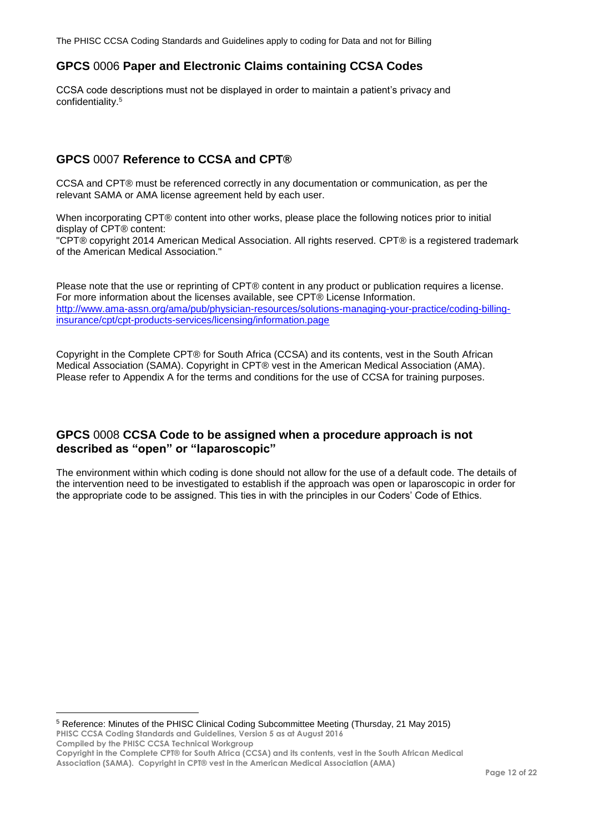## <span id="page-11-0"></span>**GPCS** 0006 **Paper and Electronic Claims containing CCSA Codes**

CCSA code descriptions must not be displayed in order to maintain a patient's privacy and confidentiality. 5

## <span id="page-11-1"></span>**GPCS** 0007 **Reference to CCSA and CPT®**

CCSA and CPT® must be referenced correctly in any documentation or communication, as per the relevant SAMA or AMA license agreement held by each user.

When incorporating CPT® content into other works, please place the following notices prior to initial display of CPT® content:

"CPT® copyright 2014 American Medical Association. All rights reserved. CPT® is a registered trademark of the American Medical Association."

Please note that the use or reprinting of CPT® content in any product or publication requires a license. For more information about the licenses available, see CPT® License Information. [http://www.ama-assn.org/ama/pub/physician-resources/solutions-managing-your-practice/coding-billing](http://www.ama-assn.org/ama/pub/physician-resources/solutions-managing-your-practice/coding-billing-insurance/cpt/cpt-products-services/licensing/information.page)[insurance/cpt/cpt-products-services/licensing/information.page](http://www.ama-assn.org/ama/pub/physician-resources/solutions-managing-your-practice/coding-billing-insurance/cpt/cpt-products-services/licensing/information.page)

Copyright in the Complete CPT® for South Africa (CCSA) and its contents, vest in the South African Medical Association (SAMA). Copyright in CPT® vest in the American Medical Association (AMA). Please refer to Appendix A for the terms and conditions for the use of CCSA for training purposes.

### <span id="page-11-2"></span>**GPCS** 0008 **CCSA Code to be assigned when a procedure approach is not described as "open" or "laparoscopic"**

The environment within which coding is done should not allow for the use of a default code. The details of the intervention need to be investigated to establish if the approach was open or laparoscopic in order for the appropriate code to be assigned. This ties in with the principles in our Coders' Code of Ethics.

**PHISC CCSA Coding Standards and Guidelines, Version 5 as at August 2016 Compiled by the PHISC CCSA Technical Workgroup Copyright in the Complete CPT® for South Africa (CCSA) and its contents, vest in the South African Medical Association (SAMA). Copyright in CPT® vest in the American Medical Association (AMA)** <sup>5</sup> Reference: Minutes of the PHISC Clinical Coding Subcommittee Meeting (Thursday, 21 May 2015)

 $\overline{a}$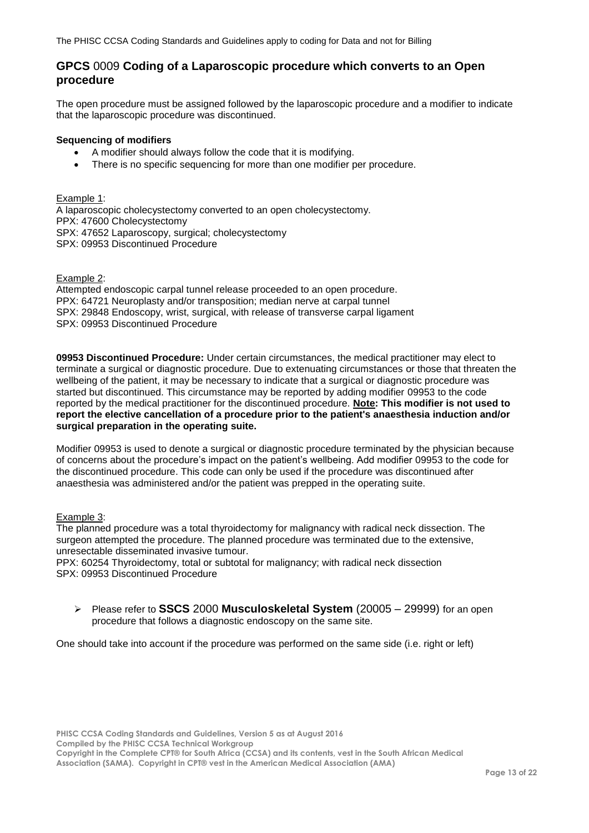### <span id="page-12-0"></span>**GPCS** 0009 **Coding of a Laparoscopic procedure which converts to an Open procedure**

The open procedure must be assigned followed by the laparoscopic procedure and a modifier to indicate that the laparoscopic procedure was discontinued.

#### **Sequencing of modifiers**

- A modifier should always follow the code that it is modifying.
- There is no specific sequencing for more than one modifier per procedure.

Example 1: A laparoscopic cholecystectomy converted to an open cholecystectomy. PPX: 47600 Cholecystectomy SPX: 47652 Laparoscopy, surgical; cholecystectomy SPX: 09953 Discontinued Procedure

#### Example 2:

Attempted endoscopic carpal tunnel release proceeded to an open procedure. PPX: 64721 Neuroplasty and/or transposition; median nerve at carpal tunnel SPX: 29848 Endoscopy, wrist, surgical, with release of transverse carpal ligament SPX: 09953 Discontinued Procedure

**09953 Discontinued Procedure:** Under certain circumstances, the medical practitioner may elect to terminate a surgical or diagnostic procedure. Due to extenuating circumstances or those that threaten the wellbeing of the patient, it may be necessary to indicate that a surgical or diagnostic procedure was started but discontinued. This circumstance may be reported by adding modifier 09953 to the code reported by the medical practitioner for the discontinued procedure. **Note: This modifier is not used to report the elective cancellation of a procedure prior to the patient's anaesthesia induction and/or surgical preparation in the operating suite.**

Modifier 09953 is used to denote a surgical or diagnostic procedure terminated by the physician because of concerns about the procedure's impact on the patient's wellbeing. Add modifier 09953 to the code for the discontinued procedure. This code can only be used if the procedure was discontinued after anaesthesia was administered and/or the patient was prepped in the operating suite.

#### Example 3:

The planned procedure was a total thyroidectomy for malignancy with radical neck dissection. The surgeon attempted the procedure. The planned procedure was terminated due to the extensive, unresectable disseminated invasive tumour.

PPX: 60254 Thyroidectomy, total or subtotal for malignancy; with radical neck dissection SPX: 09953 Discontinued Procedure

 Please refer to **SSCS** 2000 **Musculoskeletal System** (20005 – 29999) for an open procedure that follows a diagnostic endoscopy on the same site.

One should take into account if the procedure was performed on the same side (i.e. right or left)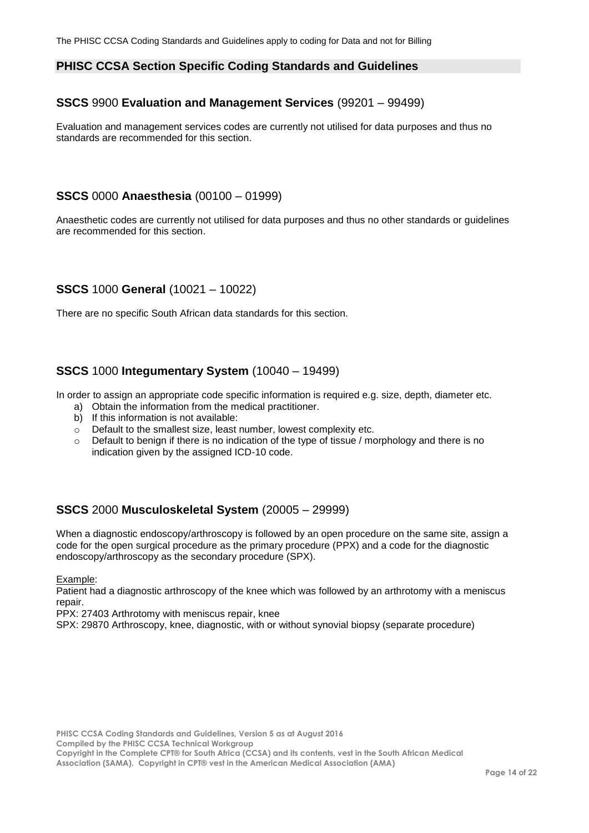### <span id="page-13-0"></span>**PHISC CCSA Section Specific Coding Standards and Guidelines**

## <span id="page-13-1"></span>**SSCS** 9900 **Evaluation and Management Services** (99201 – 99499)

Evaluation and management services codes are currently not utilised for data purposes and thus no standards are recommended for this section.

### <span id="page-13-2"></span>**SSCS** 0000 **Anaesthesia** (00100 – 01999)

Anaesthetic codes are currently not utilised for data purposes and thus no other standards or guidelines are recommended for this section.

## <span id="page-13-3"></span>**SSCS** 1000 **General** (10021 – 10022)

There are no specific South African data standards for this section.

### <span id="page-13-4"></span>**SSCS** 1000 **Integumentary System** (10040 – 19499)

In order to assign an appropriate code specific information is required e.g. size, depth, diameter etc.

- a) Obtain the information from the medical practitioner.
- b) If this information is not available:
- $\circ$  Default to the smallest size, least number, lowest complexity etc.
- $\circ$  Default to benign if there is no indication of the type of tissue / morphology and there is no indication given by the assigned ICD-10 code.

### <span id="page-13-5"></span>**SSCS** 2000 **Musculoskeletal System** (20005 – 29999)

When a diagnostic endoscopy/arthroscopy is followed by an open procedure on the same site, assign a code for the open surgical procedure as the primary procedure (PPX) and a code for the diagnostic endoscopy/arthroscopy as the secondary procedure (SPX).

Example:

Patient had a diagnostic arthroscopy of the knee which was followed by an arthrotomy with a meniscus repair.

PPX: 27403 Arthrotomy with meniscus repair, knee

SPX: 29870 Arthroscopy, knee, diagnostic, with or without synovial biopsy (separate procedure)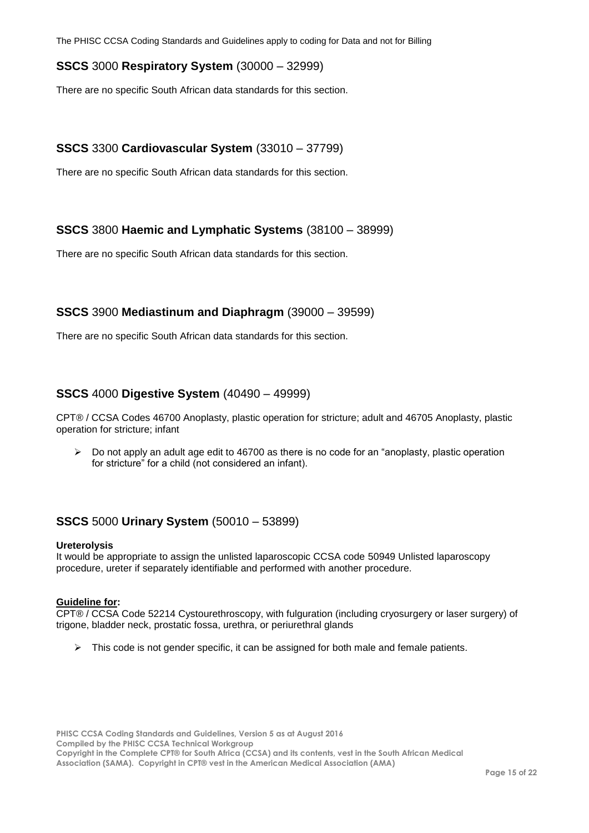## <span id="page-14-0"></span>**SSCS** 3000 **Respiratory System** (30000 – 32999)

There are no specific South African data standards for this section.

## <span id="page-14-1"></span>**SSCS** 3300 **Cardiovascular System** (33010 – 37799)

There are no specific South African data standards for this section.

## <span id="page-14-2"></span>**SSCS** 3800 **Haemic and Lymphatic Systems** (38100 – 38999)

There are no specific South African data standards for this section.

### <span id="page-14-3"></span>**SSCS** 3900 **Mediastinum and Diaphragm** (39000 – 39599)

There are no specific South African data standards for this section.

## <span id="page-14-4"></span>**SSCS** 4000 **Digestive System** (40490 – 49999)

CPT® / CCSA Codes 46700 Anoplasty, plastic operation for stricture; adult and 46705 Anoplasty, plastic operation for stricture; infant

 $\triangleright$  Do not apply an adult age edit to 46700 as there is no code for an "anoplasty, plastic operation for stricture" for a child (not considered an infant).

### <span id="page-14-5"></span>**SSCS** 5000 **Urinary System** (50010 – 53899)

#### **Ureterolysis**

It would be appropriate to assign the unlisted laparoscopic CCSA code 50949 Unlisted laparoscopy procedure, ureter if separately identifiable and performed with another procedure.

#### **Guideline for:**

CPT® / CCSA Code 52214 Cystourethroscopy, with fulguration (including cryosurgery or laser surgery) of trigone, bladder neck, prostatic fossa, urethra, or periurethral glands

 $\triangleright$  This code is not gender specific, it can be assigned for both male and female patients.

**PHISC CCSA Coding Standards and Guidelines, Version 5 as at August 2016 Compiled by the PHISC CCSA Technical Workgroup Copyright in the Complete CPT® for South Africa (CCSA) and its contents, vest in the South African Medical Association (SAMA). Copyright in CPT® vest in the American Medical Association (AMA)**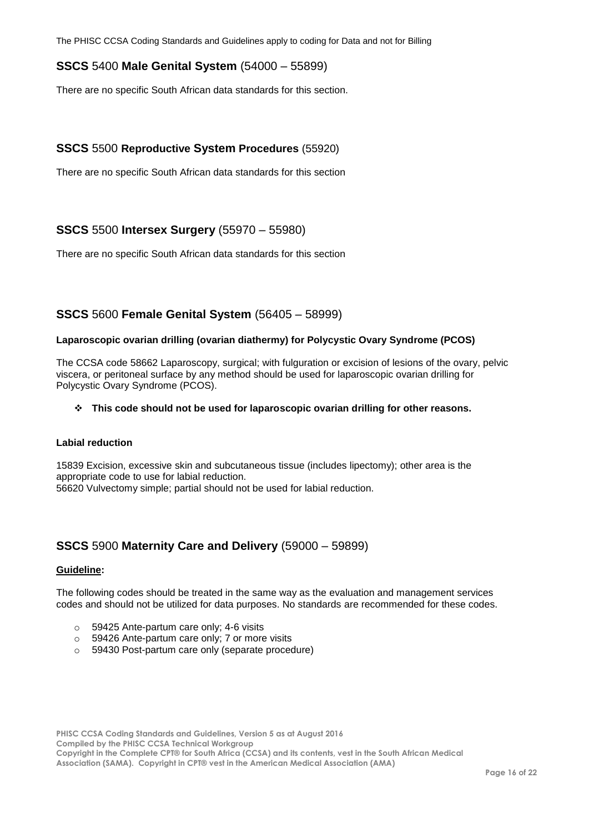## <span id="page-15-0"></span>**SSCS** 5400 **Male Genital System** (54000 – 55899)

There are no specific South African data standards for this section.

### <span id="page-15-1"></span>**SSCS** 5500 **Reproductive System Procedures** (55920)

There are no specific South African data standards for this section

### <span id="page-15-2"></span>**SSCS** 5500 **Intersex Surgery** (55970 – 55980)

There are no specific South African data standards for this section

### <span id="page-15-3"></span>**SSCS** 5600 **Female Genital System** (56405 – 58999)

#### **Laparoscopic ovarian drilling (ovarian diathermy) for Polycystic Ovary Syndrome (PCOS)**

The CCSA code 58662 Laparoscopy, surgical; with fulguration or excision of lesions of the ovary, pelvic viscera, or peritoneal surface by any method should be used for laparoscopic ovarian drilling for Polycystic Ovary Syndrome (PCOS).

#### **This code should not be used for laparoscopic ovarian drilling for other reasons.**

#### **Labial reduction**

15839 Excision, excessive skin and subcutaneous tissue (includes lipectomy); other area is the appropriate code to use for labial reduction. 56620 Vulvectomy simple; partial should not be used for labial reduction.

### <span id="page-15-4"></span>**SSCS** 5900 **Maternity Care and Delivery** (59000 – 59899)

#### **Guideline:**

The following codes should be treated in the same way as the evaluation and management services codes and should not be utilized for data purposes. No standards are recommended for these codes.

- o 59425 Ante-partum care only; 4-6 visits
- o 59426 Ante-partum care only; 7 or more visits
- o 59430 Post-partum care only (separate procedure)

**PHISC CCSA Coding Standards and Guidelines, Version 5 as at August 2016 Compiled by the PHISC CCSA Technical Workgroup Copyright in the Complete CPT® for South Africa (CCSA) and its contents, vest in the South African Medical Association (SAMA). Copyright in CPT® vest in the American Medical Association (AMA)**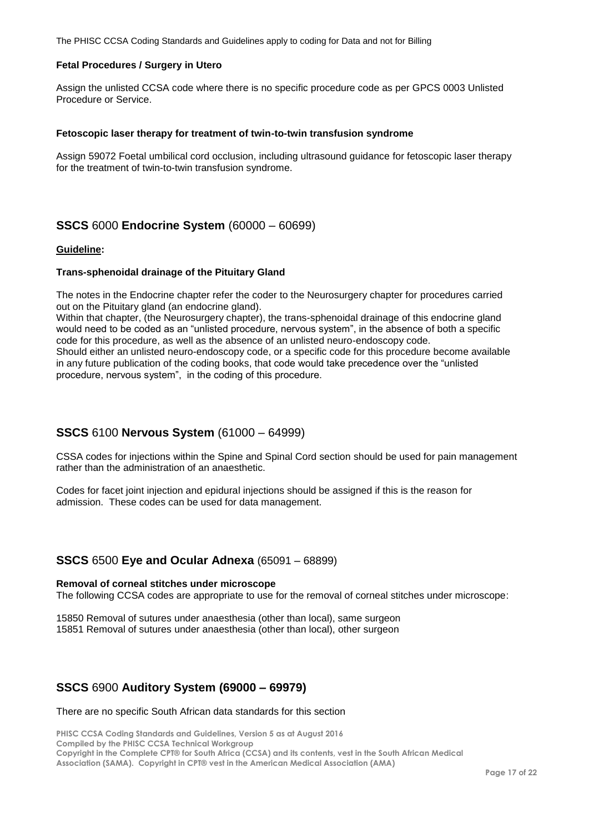#### **Fetal Procedures / Surgery in Utero**

Assign the unlisted CCSA code where there is no specific procedure code as per GPCS 0003 Unlisted Procedure or Service.

#### **Fetoscopic laser therapy for treatment of twin-to-twin transfusion syndrome**

Assign 59072 Foetal umbilical cord occlusion, including ultrasound guidance for fetoscopic laser therapy for the treatment of twin-to-twin transfusion syndrome.

### <span id="page-16-0"></span>**SSCS** 6000 **Endocrine System** (60000 – 60699)

#### **Guideline:**

#### **Trans-sphenoidal drainage of the Pituitary Gland**

The notes in the Endocrine chapter refer the coder to the Neurosurgery chapter for procedures carried out on the Pituitary gland (an endocrine gland).

Within that chapter, (the Neurosurgery chapter), the trans-sphenoidal drainage of this endocrine gland would need to be coded as an "unlisted procedure, nervous system", in the absence of both a specific code for this procedure, as well as the absence of an unlisted neuro-endoscopy code. Should either an unlisted neuro-endoscopy code, or a specific code for this procedure become available in any future publication of the coding books, that code would take precedence over the "unlisted procedure, nervous system", in the coding of this procedure.

### <span id="page-16-1"></span>**SSCS** 6100 **Nervous System** (61000 – 64999)

CSSA codes for injections within the Spine and Spinal Cord section should be used for pain management rather than the administration of an anaesthetic.

Codes for facet joint injection and epidural injections should be assigned if this is the reason for admission. These codes can be used for data management.

### <span id="page-16-2"></span>**SSCS** 6500 **Eye and Ocular Adnexa** (65091 – 68899)

#### **Removal of corneal stitches under microscope**

The following CCSA codes are appropriate to use for the removal of corneal stitches under microscope:

15850 Removal of sutures under anaesthesia (other than local), same surgeon 15851 Removal of sutures under anaesthesia (other than local), other surgeon

### <span id="page-16-3"></span>**SSCS** 6900 **Auditory System (69000 – 69979)**

#### There are no specific South African data standards for this section

**PHISC CCSA Coding Standards and Guidelines, Version 5 as at August 2016 Compiled by the PHISC CCSA Technical Workgroup Copyright in the Complete CPT® for South Africa (CCSA) and its contents, vest in the South African Medical Association (SAMA). Copyright in CPT® vest in the American Medical Association (AMA)**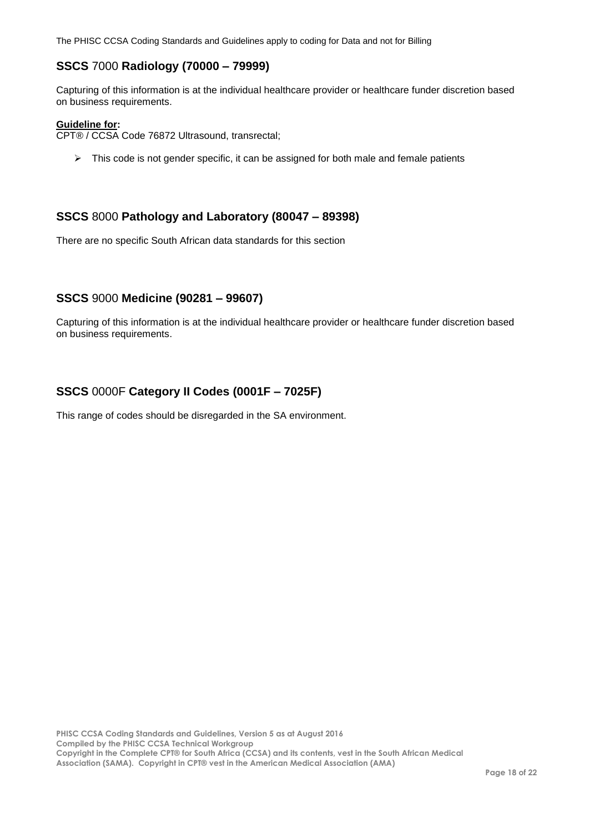## <span id="page-17-0"></span>**SSCS** 7000 **Radiology (70000 – 79999)**

Capturing of this information is at the individual healthcare provider or healthcare funder discretion based on business requirements.

#### **Guideline for:**

CPT® / CCSA Code 76872 Ultrasound, transrectal;

 $\triangleright$  This code is not gender specific, it can be assigned for both male and female patients

### <span id="page-17-1"></span>**SSCS** 8000 **Pathology and Laboratory (80047 – 89398)**

There are no specific South African data standards for this section

### <span id="page-17-2"></span>**SSCS** 9000 **Medicine (90281 – 99607)**

Capturing of this information is at the individual healthcare provider or healthcare funder discretion based on business requirements.

## <span id="page-17-3"></span>**SSCS** 0000F **Category II Codes (0001F – 7025F)**

This range of codes should be disregarded in the SA environment.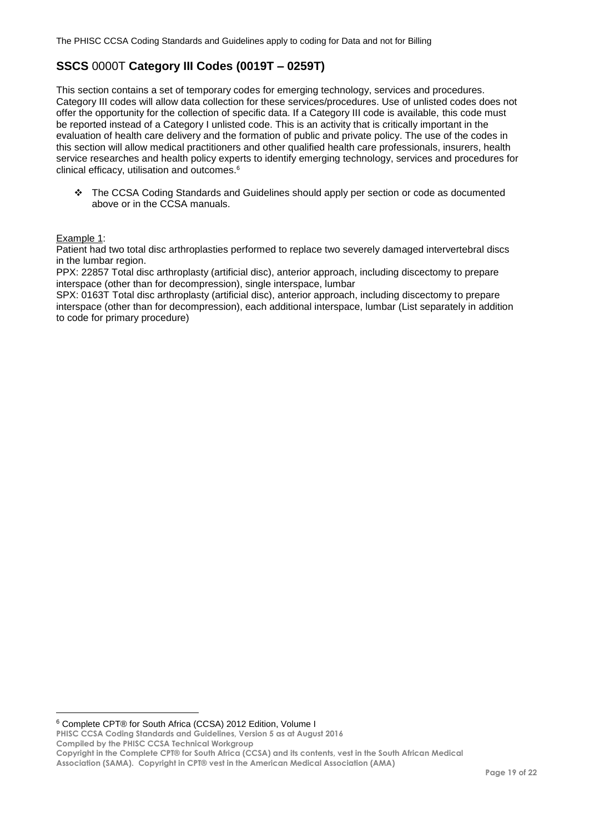# <span id="page-18-0"></span>**SSCS** 0000T **Category III Codes (0019T – 0259T)**

This section contains a set of temporary codes for emerging technology, services and procedures. Category III codes will allow data collection for these services/procedures. Use of unlisted codes does not offer the opportunity for the collection of specific data. If a Category III code is available, this code must be reported instead of a Category I unlisted code. This is an activity that is critically important in the evaluation of health care delivery and the formation of public and private policy. The use of the codes in this section will allow medical practitioners and other qualified health care professionals, insurers, health service researches and health policy experts to identify emerging technology, services and procedures for clinical efficacy, utilisation and outcomes.<sup>6</sup>

 The CCSA Coding Standards and Guidelines should apply per section or code as documented above or in the CCSA manuals.

#### Example 1:

 $\overline{a}$ 

Patient had two total disc arthroplasties performed to replace two severely damaged intervertebral discs in the lumbar region.

PPX: 22857 Total disc arthroplasty (artificial disc), anterior approach, including discectomy to prepare interspace (other than for decompression), single interspace, lumbar

SPX: 0163T Total disc arthroplasty (artificial disc), anterior approach, including discectomy to prepare interspace (other than for decompression), each additional interspace, lumbar (List separately in addition to code for primary procedure)

<sup>6</sup> Complete CPT® for South Africa (CCSA) 2012 Edition, Volume I

**PHISC CCSA Coding Standards and Guidelines, Version 5 as at August 2016 Compiled by the PHISC CCSA Technical Workgroup**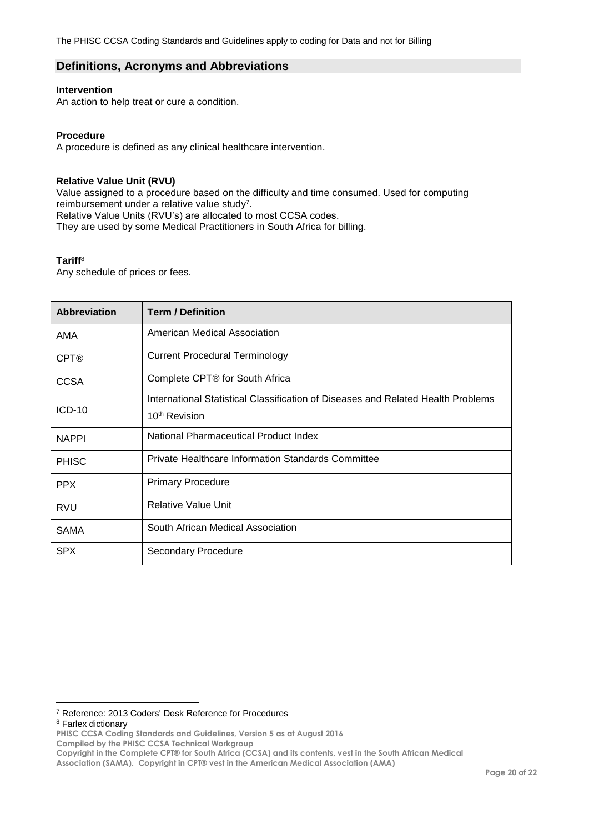### <span id="page-19-0"></span>**Definitions, Acronyms and Abbreviations**

#### **Intervention**

An action to help treat or cure a condition.

#### **Procedure**

A procedure is defined as any clinical healthcare intervention.

#### **Relative Value Unit (RVU)**

Value assigned to a procedure based on the difficulty and time consumed. Used for computing reimbursement under a relative value study<sup>7</sup>. Relative Value Units (RVU's) are allocated to most CCSA codes. They are used by some Medical Practitioners in South Africa for billing.

#### **Tariff**<sup>8</sup>

Any schedule of prices or fees.

| <b>Abbreviation</b> | <b>Term / Definition</b>                                                         |
|---------------------|----------------------------------------------------------------------------------|
| AMA                 | American Medical Association                                                     |
| <b>CPT®</b>         | Current Procedural Terminology                                                   |
| <b>CCSA</b>         | Complete CPT® for South Africa                                                   |
|                     | International Statistical Classification of Diseases and Related Health Problems |
| $ICD-10$            | 10 <sup>th</sup> Revision                                                        |
| <b>NAPPI</b>        | National Pharmaceutical Product Index                                            |
| <b>PHISC</b>        | Private Healthcare Information Standards Committee                               |
| <b>PPX</b>          | <b>Primary Procedure</b>                                                         |
| <b>RVU</b>          | <b>Relative Value Unit</b>                                                       |
| <b>SAMA</b>         | South African Medical Association                                                |
| <b>SPX</b>          | Secondary Procedure                                                              |

<sup>8</sup> Farlex dictionary

 $\overline{a}$ 

<sup>7</sup> Reference: 2013 Coders' Desk Reference for Procedures

**PHISC CCSA Coding Standards and Guidelines, Version 5 as at August 2016**

**Compiled by the PHISC CCSA Technical Workgroup**

**Copyright in the Complete CPT® for South Africa (CCSA) and its contents, vest in the South African Medical** 

**Association (SAMA). Copyright in CPT® vest in the American Medical Association (AMA)**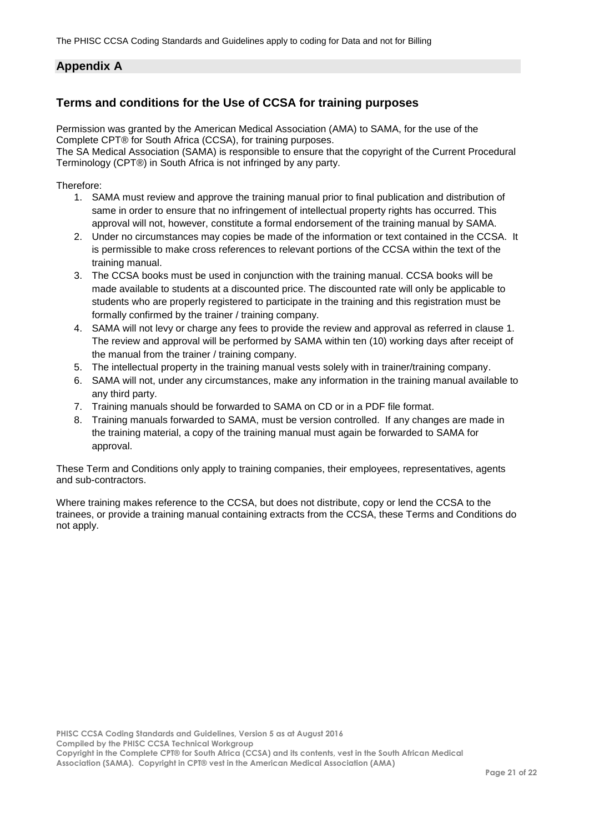## <span id="page-20-0"></span>**Appendix A**

## <span id="page-20-1"></span>**Terms and conditions for the Use of CCSA for training purposes**

Permission was granted by the American Medical Association (AMA) to SAMA, for the use of the Complete CPT® for South Africa (CCSA), for training purposes.

The SA Medical Association (SAMA) is responsible to ensure that the copyright of the Current Procedural Terminology (CPT®) in South Africa is not infringed by any party.

Therefore:

- 1. SAMA must review and approve the training manual prior to final publication and distribution of same in order to ensure that no infringement of intellectual property rights has occurred. This approval will not, however, constitute a formal endorsement of the training manual by SAMA.
- 2. Under no circumstances may copies be made of the information or text contained in the CCSA. It is permissible to make cross references to relevant portions of the CCSA within the text of the training manual.
- 3. The CCSA books must be used in conjunction with the training manual. CCSA books will be made available to students at a discounted price. The discounted rate will only be applicable to students who are properly registered to participate in the training and this registration must be formally confirmed by the trainer / training company.
- 4. SAMA will not levy or charge any fees to provide the review and approval as referred in clause 1. The review and approval will be performed by SAMA within ten (10) working days after receipt of the manual from the trainer / training company.
- 5. The intellectual property in the training manual vests solely with in trainer/training company.
- 6. SAMA will not, under any circumstances, make any information in the training manual available to any third party.
- 7. Training manuals should be forwarded to SAMA on CD or in a PDF file format.
- 8. Training manuals forwarded to SAMA, must be version controlled. If any changes are made in the training material, a copy of the training manual must again be forwarded to SAMA for approval.

These Term and Conditions only apply to training companies, their employees, representatives, agents and sub-contractors.

Where training makes reference to the CCSA, but does not distribute, copy or lend the CCSA to the trainees, or provide a training manual containing extracts from the CCSA, these Terms and Conditions do not apply.